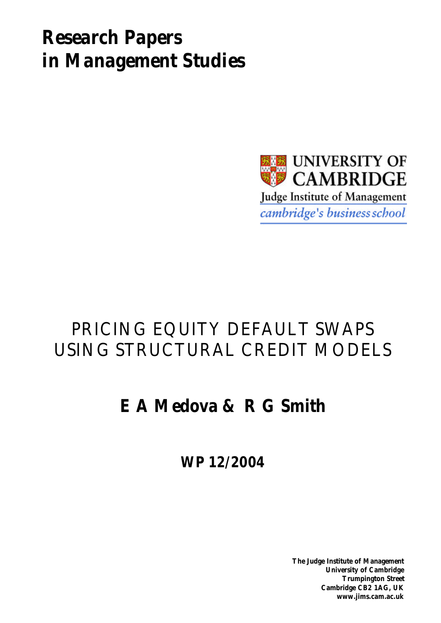# *Research Papers in Management Studies*



## PRICING EQUITY DEFAULT SWAPS USING STRUCTURAL CREDIT MODELS

## **E A Medova & R G Smith**

**WP 12/2004**

**The Judge Institute of Management University of Cambridge Trumpington Street Cambridge CB2 1AG, UK www.jims.cam.ac.uk**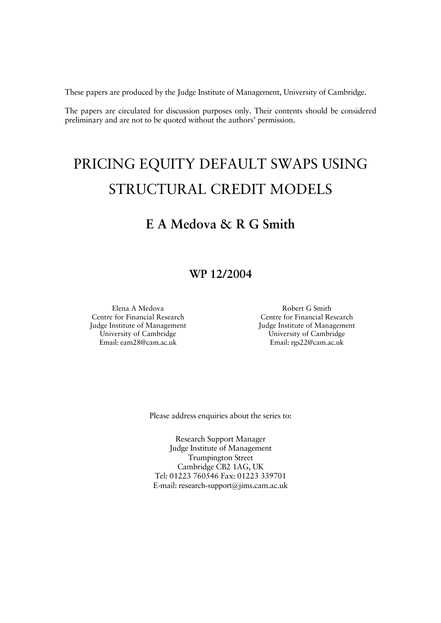These papers are produced by the Judge Institute of Management, University of Cambridge.

The papers are circulated for discussion purposes only. Their contents should be considered preliminary and are not to be quoted without the authors' permission.

## PRICING EQUITY DEFAULT SWAPS USING STRUCTURAL CREDIT MODELS

## **E A Medova & R G Smith**

### **WP 12/2004**

Elena A Medova Centre for Financial Research Judge Institute of Management University of Cambridge Email: eam28@cam.ac.uk

Robert G Smith Centre for Financial Research Judge Institute of Management University of Cambridge Email: rgs22@cam.ac.uk

Please address enquiries about the series to:

Research Support Manager Judge Institute of Management Trumpington Street Cambridge CB2 1AG, UK Tel: 01223 760546 Fax: 01223 339701 E-mail: research-support@jims.cam.ac.uk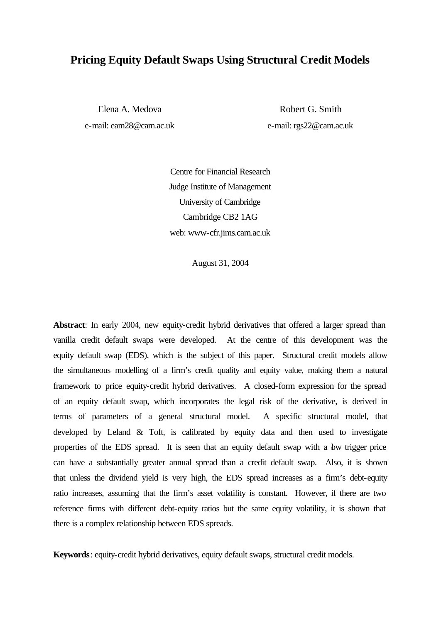### **Pricing Equity Default Swaps Using Structural Credit Models**

Elena A. Medova e-mail: eam28@cam.ac.uk

Robert G. Smith e-mail: rgs22@cam.ac.uk

Centre for Financial Research Judge Institute of Management University of Cambridge Cambridge CB2 1AG web: www-cfr.jims.cam.ac.uk

August 31, 2004

**Abstract**: In early 2004, new equity-credit hybrid derivatives that offered a larger spread than vanilla credit default swaps were developed. At the centre of this development was the equity default swap (EDS), which is the subject of this paper. Structural credit models allow the simultaneous modelling of a firm's credit quality and equity value, making them a natural framework to price equity-credit hybrid derivatives. A closed-form expression for the spread of an equity default swap, which incorporates the legal risk of the derivative, is derived in terms of parameters of a general structural model. A specific structural model, that developed by Leland & Toft, is calibrated by equity data and then used to investigate properties of the EDS spread. It is seen that an equity default swap with a bw trigger price can have a substantially greater annual spread than a credit default swap. Also, it is shown that unless the dividend yield is very high, the EDS spread increases as a firm's debt-equity ratio increases, assuming that the firm's asset volatility is constant. However, if there are two reference firms with different debt-equity ratios but the same equity volatility, it is shown that there is a complex relationship between EDS spreads.

**Keywords**: equity-credit hybrid derivatives, equity default swaps, structural credit models.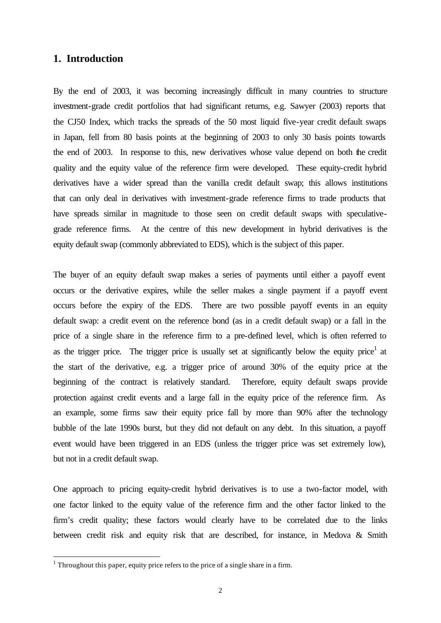#### **1. Introduction**

By the end of 2003, it was becoming increasingly difficult in many countries to structure investment-grade credit portfolios that had significant returns, e.g. Sawyer (2003) reports that the CJ50 Index, which tracks the spreads of the 50 most liquid five-year credit default swaps in Japan, fell from 80 basis points at the beginning of 2003 to only 30 basis points towards the end of 2003. In response to this, new derivatives whose value depend on both the credit quality and the equity value of the reference firm were developed. These equity-credit hybrid derivatives have a wider spread than the vanilla credit default swap; this allows institutions that can only deal in derivatives with investment-grade reference firms to trade products that have spreads similar in magnitude to those seen on credit default swaps with speculativegrade reference firms. At the centre of this new development in hybrid derivatives is the equity default swap (commonly abbreviated to EDS), which is the subject of this paper.

The buyer of an equity default swap makes a series of payments until either a payoff event occurs or the derivative expires, while the seller makes a single payment if a payoff event occurs before the expiry of the EDS. There are two possible payoff events in an equity default swap: a credit event on the reference bond (as in a credit default swap) or a fall in the price of a single share in the reference firm to a pre-defined level, which is often referred to as the trigger price. The trigger price is usually set at significantly below the equity price<sup>1</sup> at the start of the derivative, e.g. a trigger price of around 30% of the equity price at the beginning of the contract is relatively standard. Therefore, equity default swaps provide protection against credit events and a large fall in the equity price of the reference firm. As an example, some firms saw their equity price fall by more than 90% after the technology bubble of the late 1990s burst, but they did not default on any debt. In this situation, a payoff event would have been triggered in an EDS (unless the trigger price was set extremely low), but not in a credit default swap.

One approach to pricing equity-credit hybrid derivatives is to use a two-factor model, with one factor linked to the equity value of the reference firm and the other factor linked to the firm's credit quality; these factors would clearly have to be correlated due to the links between credit risk and equity risk that are described, for instance, in Medova & Smith

<sup>&</sup>lt;sup>1</sup> Throughout this paper, equity price refers to the price of a single share in a firm.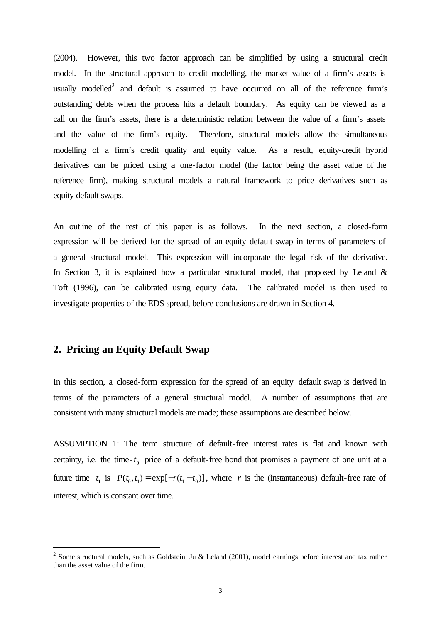(2004). However, this two factor approach can be simplified by using a structural credit model. In the structural approach to credit modelling, the market value of a firm's assets is usually modelled<sup>2</sup> and default is assumed to have occurred on all of the reference firm's outstanding debts when the process hits a default boundary. As equity can be viewed as a call on the firm's assets, there is a deterministic relation between the value of a firm's assets and the value of the firm's equity. Therefore, structural models allow the simultaneous modelling of a firm's credit quality and equity value. As a result, equity-credit hybrid derivatives can be priced using a one-factor model (the factor being the asset value of the reference firm), making structural models a natural framework to price derivatives such as equity default swaps.

An outline of the rest of this paper is as follows. In the next section, a closed-form expression will be derived for the spread of an equity default swap in terms of parameters of a general structural model. This expression will incorporate the legal risk of the derivative. In Section 3, it is explained how a particular structural model, that proposed by Leland  $\&$ Toft (1996), can be calibrated using equity data. The calibrated model is then used to investigate properties of the EDS spread, before conclusions are drawn in Section 4.

#### **2. Pricing an Equity Default Swap**

l

In this section, a closed-form expression for the spread of an equity default swap is derived in terms of the parameters of a general structural model. A number of assumptions that are consistent with many structural models are made; these assumptions are described below.

ASSUMPTION 1: The term structure of default-free interest rates is flat and known with certainty, i.e. the time- $t_0$  price of a default-free bond that promises a payment of one unit at a future time  $t_1$  is  $P(t_0, t_1) = \exp[-r(t_1 - t_0)]$ , where *r* is the (instantaneous) default-free rate of interest, which is constant over time.

<sup>&</sup>lt;sup>2</sup> Some structural models, such as Goldstein, Ju & Leland (2001), model earnings before interest and tax rather than the asset value of the firm.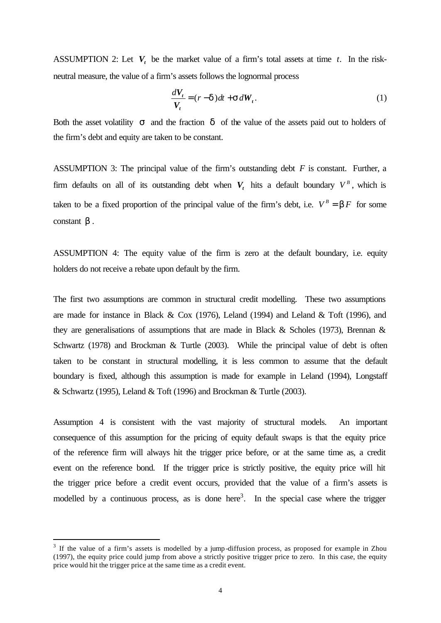ASSUMPTION 2: Let  $V_t$  be the market value of a firm's total assets at time *t*. In the riskneutral measure, the value of a firm's assets follows the lognormal process

$$
\frac{dV_t}{V_t} = (r - \mathbf{d})dt + \mathbf{S}dW_t.
$$
\n(1)

Both the asset volatility *s* and the fraction *d* of the value of the assets paid out to holders of the firm's debt and equity are taken to be constant.

ASSUMPTION 3: The principal value of the firm's outstanding debt *F* is constant. Further, a firm defaults on all of its outstanding debt when  $V_t$  hits a default boundary  $V^B$ , which is taken to be a fixed proportion of the principal value of the firm's debt, i.e.  $V^B = \mathbf{b} F$  for some constant *b* .

ASSUMPTION 4: The equity value of the firm is zero at the default boundary, i.e. equity holders do not receive a rebate upon default by the firm.

The first two assumptions are common in structural credit modelling. These two assumptions are made for instance in Black & Cox (1976), Leland (1994) and Leland & Toft (1996), and they are generalisations of assumptions that are made in Black & Scholes (1973), Brennan & Schwartz (1978) and Brockman & Turtle (2003). While the principal value of debt is often taken to be constant in structural modelling, it is less common to assume that the default boundary is fixed, although this assumption is made for example in Leland (1994), Longstaff & Schwartz (1995), Leland & Toft (1996) and Brockman & Turtle (2003).

Assumption 4 is consistent with the vast majority of structural models. An important consequence of this assumption for the pricing of equity default swaps is that the equity price of the reference firm will always hit the trigger price before, or at the same time as, a credit event on the reference bond. If the trigger price is strictly positive, the equity price will hit the trigger price before a credit event occurs, provided that the value of a firm's assets is modelled by a continuous process, as is done here<sup>3</sup>. In the special case where the trigger

 $3$  If the value of a firm's assets is modelled by a jump-diffusion process, as proposed for example in Zhou (1997), the equity price could jump from above a strictly positive trigger price to zero. In this case, the equity price would hit the trigger price at the same time as a credit event.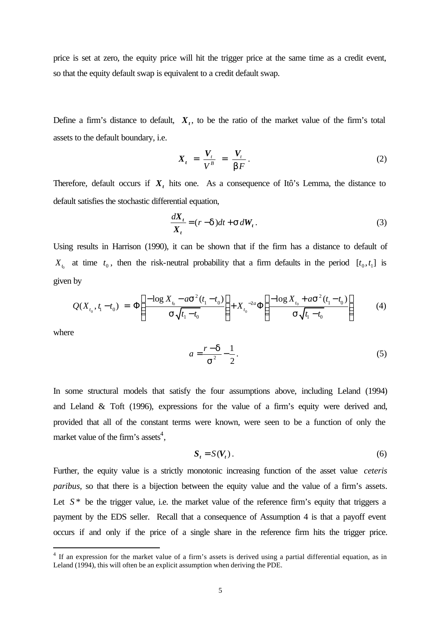price is set at zero, the equity price will hit the trigger price at the same time as a credit event, so that the equity default swap is equivalent to a credit default swap.

Define a firm's distance to default,  $X_t$ , to be the ratio of the market value of the firm's total assets to the default boundary, i.e.

$$
X_t = \frac{V_t}{V^B} = \frac{V_t}{bF}.
$$
 (2)

Therefore, default occurs if  $X_t$  hits one. As a consequence of Itô's Lemma, the distance to default satisfies the stochastic differential equation,

$$
\frac{dX_t}{X_t} = (r - \mathbf{d})dt + \mathbf{S}dW_t.
$$
\n(3)

Using results in Harrison (1990), it can be shown that if the firm has a distance to default of  $X_{t_0}$  at time  $t_0$ , then the risk-neutral probability that a firm defaults in the period  $[t_0, t_1]$  is given by

$$
Q(X_{t_0}, t_1 - t_0) = \Phi\left(\frac{-\log X_{t_0} - a\mathbf{S}^2(t_1 - t_0)}{\mathbf{S}\sqrt{t_1 - t_0}}\right) + X_{t_0}^{-2a}\Phi\left(\frac{-\log X_{t_0} + a\mathbf{S}^2(t_1 - t_0)}{\mathbf{S}\sqrt{t_1 - t_0}}\right) \tag{4}
$$

where

l

$$
a = \frac{r - d}{s^2} - \frac{1}{2}.
$$
\n<sup>(5)</sup>

In some structural models that satisfy the four assumptions above, including Leland (1994) and Leland & Toft (1996), expressions for the value of a firm's equity were derived and, provided that all of the constant terms were known, were seen to be a function of only the market value of the firm's assets<sup>4</sup>,

$$
S_t = S(V_t). \tag{6}
$$

Further, the equity value is a strictly monotonic increasing function of the asset value *ceteris paribus*, so that there is a bijection between the equity value and the value of a firm's assets. Let  $S^*$  be the trigger value, i.e. the market value of the reference firm's equity that triggers a payment by the EDS seller. Recall that a consequence of Assumption 4 is that a payoff event occurs if and only if the price of a single share in the reference firm hits the trigger price.

<sup>&</sup>lt;sup>4</sup> If an expression for the market value of a firm's assets is derived using a partial differential equation, as in Leland (1994), this will often be an explicit assumption when deriving the PDE.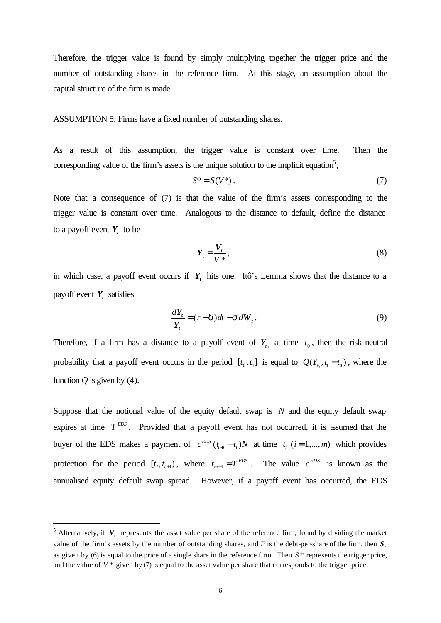Therefore, the trigger value is found by simply multiplying together the trigger price and the number of outstanding shares in the reference firm. At this stage, an assumption about the capital structure of the firm is made.

ASSUMPTION 5: Firms have a fixed number of outstanding shares.

As a result of this assumption, the trigger value is constant over time. Then the corresponding value of the firm's assets is the unique solution to the implicit equation<sup>5</sup>,

$$
S^* = S(V^*)\,. \tag{7}
$$

Note that a consequence of (7) is that the value of the firm's assets corresponding to the trigger value is constant over time. Analogous to the distance to default, define the distance to a payoff event  $Y_t$  to be

$$
Y_t = \frac{V_t}{V^*},\tag{8}
$$

in which case, a payoff event occurs if  $Y_t$  hits one. Itô's Lemma shows that the distance to a payoff event  $Y_t$  satisfies

$$
\frac{dY_t}{Y_t} = (r - d)dt + s dW_t.
$$
\n(9)

Therefore, if a firm has a distance to a payoff event of  $Y_{t_0}$  at time  $t_0$ , then the risk-neutral probability that a payoff event occurs in the period  $[t_0, t_1]$  is equal to  $Q(Y_{t_0}, t_1 - t_0)$ , where the function  $Q$  is given by (4).

Suppose that the notional value of the equity default swap is *N* and the equity default swap expires at time  $T^{EDS}$ . Provided that a payoff event has not occurred, it is assumed that the buyer of the EDS makes a payment of  $c^{EDS}(t_{i+1} - t_i)N$  at time  $t_i$   $(i = 1,...,m)$  which provides protection for the period  $[t_i, t_{i+1})$ , where  $t_{m+1} = T^{EDS}$  $t_{m+1} = T^{EDS}$ . The value  $c^{EDS}$  is known as the annualised equity default swap spread. However, if a payoff event has occurred, the EDS

<sup>&</sup>lt;sup>5</sup> Alternatively, if  $V_t$  represents the asset value per share of the reference firm, found by dividing the market value of the firm's assets by the number of outstanding shares, and  $F$  is the debt-per-share of the firm, then  $S_t$ as given by (6) is equal to the price of a single share in the reference firm. Then *S* \* represents the trigger price, and the value of  $V^*$  given by (7) is equal to the asset value per share that corresponds to the trigger price.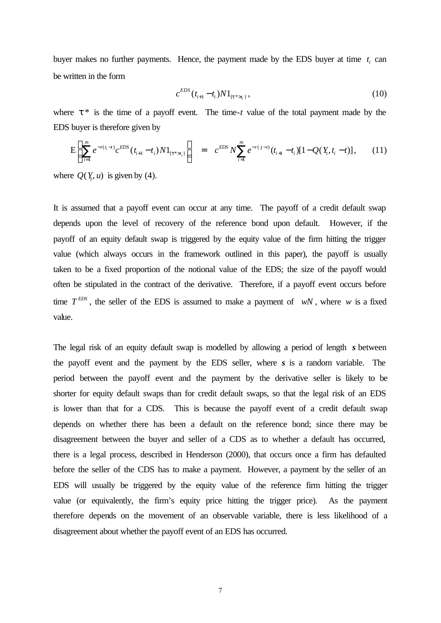buyer makes no further payments. Hence, the payment made by the EDS buyer at time  $t_i$  can be written in the form

$$
c^{EDS}(t_{i+1} - t_i)N1_{\{t^* > t_i\}},\tag{10}
$$

where  $t^*$  is the time of a payoff event. The time-*t* value of the total payment made by the EDS buyer is therefore given by

$$
E\left(\sum_{i=1}^{m}e^{-r(t_{i}-t)}c^{EDS}(t_{i+1}-t_{i})N1_{\{t^{*}>t_{i}\}}\right) = c^{EDS}N\sum_{i=1}^{m}e^{-r(t-t)}(t_{i+1}-t_{i})[1-Q(Y_{i},t_{i}-t)],\qquad(11)
$$

where  $Q(Y_t, u)$  is given by (4).

It is assumed that a payoff event can occur at any time. The payoff of a credit default swap depends upon the level of recovery of the reference bond upon default. However, if the payoff of an equity default swap is triggered by the equity value of the firm hitting the trigger value (which always occurs in the framework outlined in this paper), the payoff is usually taken to be a fixed proportion of the notional value of the EDS; the size of the payoff would often be stipulated in the contract of the derivative. Therefore, if a payoff event occurs before time  $T^{EDS}$ , the seller of the EDS is assumed to make a payment of *wN*, where *w* is a fixed value.

The legal risk of an equity default swap is modelled by allowing a period of length *s* between the payoff event and the payment by the EDS seller, where *s* is a random variable. The period between the payoff event and the payment by the derivative seller is likely to be shorter for equity default swaps than for credit default swaps, so that the legal risk of an EDS is lower than that for a CDS. This is because the payoff event of a credit default swap depends on whether there has been a default on the reference bond; since there may be disagreement between the buyer and seller of a CDS as to whether a default has occurred, there is a legal process, described in Henderson (2000), that occurs once a firm has defaulted before the seller of the CDS has to make a payment. However, a payment by the seller of an EDS will usually be triggered by the equity value of the reference firm hitting the trigger value (or equivalently, the firm's equity price hitting the trigger price). As the payment therefore depends on the movement of an observable variable, there is less likelihood of a disagreement about whether the payoff event of an EDS has occurred.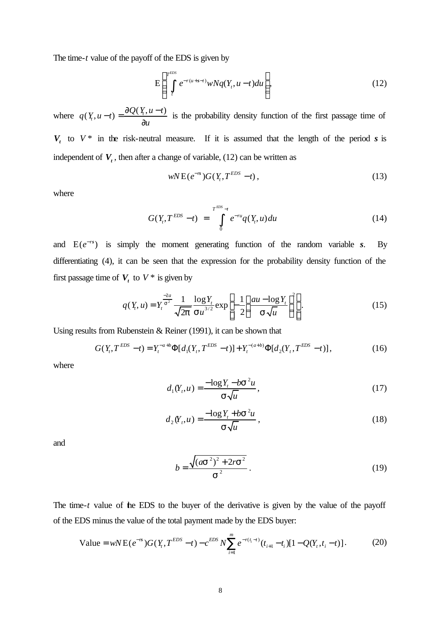The time-*t* value of the payoff of the EDS is given by

$$
E\left(\int_{t}^{\text{FDS}}e^{-r(u+s-t)}wNq(Y_t,u-t)du\right),\tag{12}
$$

where  $q(Y_t, u-t) = \frac{\partial Q(Y_t, u-t)}{\partial x}$ *u*  $(t-t) = \frac{\partial Q(Y_t, u - \tau)}{\partial x}$ ∂ is the probability density function of the first passage time of  $V_t$  to  $V^*$  in the risk-neutral measure. If it is assumed that the length of the period *s* is independent of  $V_t$ , then after a change of variable, (12) can be written as

$$
wNE(e^{-rs})G(Y_t, T^{EDS}-t), \qquad (13)
$$

where

$$
G(Y_t, T^{EDS} - t) = \int_{0}^{T^{EDS} - t} e^{-ru} q(Y_t, u) du
$$
 (14)

and  $E(e^{-rs})$  is simply the moment generating function of the random variable *s*. By differentiating (4), it can be seen that the expression for the probability density function of the first passage time of  $V_t$  to  $V^*$  is given by

$$
q(Y_t, u) = Y_t^{\frac{-2a}{s^2}} \frac{1}{\sqrt{2p}} \frac{\log Y_t}{\mathbf{S} u^{3/2}} \exp\left[-\frac{1}{2}\left(\frac{au - \log Y_t}{\mathbf{S}\sqrt{u}}\right)^2\right].
$$
 (15)

Using results from Rubenstein & Reiner (1991), it can be shown that

$$
G(Y_t, T^{EDS} - t) = Y_t^{-a+b} \Phi[d_1(Y_t, T^{EDS} - t)] + Y_t^{-(a+b)} \Phi[d_2(Y_t, T^{EDS} - t)],
$$
\n(16)

where

$$
d_1(Y_t, u) = \frac{-\log Y_t - b\mathbf{S}^2 u}{\mathbf{S}\sqrt{u}},
$$
\n(17)

$$
d_2(Y_t, u) = \frac{-\log Y_t + b\mathbf{S}^2 u}{\mathbf{S}\sqrt{u}},
$$
\n(18)

and

$$
b = \frac{\sqrt{(as^2)^2 + 2rs^2}}{s^2}.
$$
 (19)

The time-*t* value of the EDS to the buyer of the derivative is given by the value of the payoff of the EDS minus the value of the total payment made by the EDS buyer:

Value = 
$$
wNE(e^{-rs})G(Y_t, T^{EDS} - t) - c^{EDS} N \sum_{i=1}^{m} e^{-r(t_i - t)} (t_{i+1} - t_i)[1 - Q(Y_t, t_i - t)].
$$
 (20)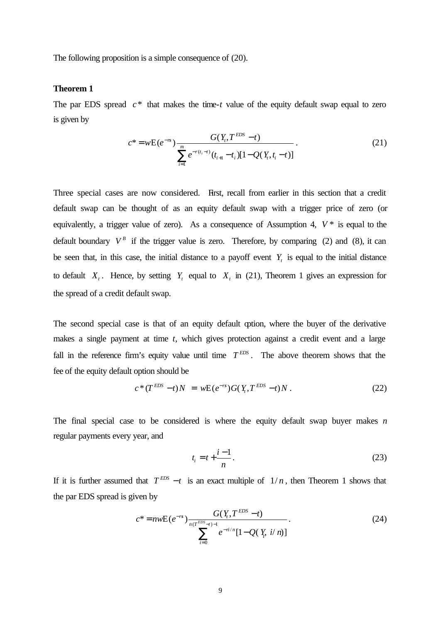The following proposition is a simple consequence of (20).

#### **Theorem 1**

The par EDS spread  $c^*$  that makes the time- $t$  value of the equity default swap equal to zero is given by

$$
c^* = wE(e^{-rs}) \frac{G(Y_t, T^{EDS} - t)}{\sum_{i=1}^m e^{-r(t_i - t)} (t_{i+1} - t_i)[1 - Q(Y_t, t_i - t)]}.
$$
\n(21)

Three special cases are now considered. First, recall from earlier in this section that a credit default swap can be thought of as an equity default swap with a trigger price of zero (or equivalently, a trigger value of zero). As a consequence of Assumption 4,  $V^*$  is equal to the default boundary  $V^B$  if the trigger value is zero. Therefore, by comparing (2) and (8), it can be seen that, in this case, the initial distance to a payoff event  $Y_t$  is equal to the initial distance to default  $X_t$ . Hence, by setting  $Y_t$  equal to  $X_t$  in (21), Theorem 1 gives an expression for the spread of a credit default swap.

The second special case is that of an equity default option, where the buyer of the derivative makes a single payment at time *t*, which gives protection against a credit event and a large fall in the reference firm's equity value until time  $T^{EDS}$ . The above theorem shows that the fee of the equity default option should be

$$
c^*(T^{EDS}-t)N = wE(e^{-rs})G(Y_t, T^{EDS}-t)N.
$$
 (22)

The final special case to be considered is where the equity default swap buyer makes *n* regular payments every year, and

$$
t_i = t + \frac{i - 1}{n}.\tag{23}
$$

If it is further assumed that  $T^{EDS} - t$  is an exact multiple of  $1/n$ , then Theorem 1 shows that the par EDS spread is given by

$$
c^* = n w E(e^{-rs}) \frac{G(Y, T^{EDS} - t)}{\sum_{i=0}^{n(T^{EDS} - t)} e^{-n/n} [1 - Q(Y, i/n)]}.
$$
 (24)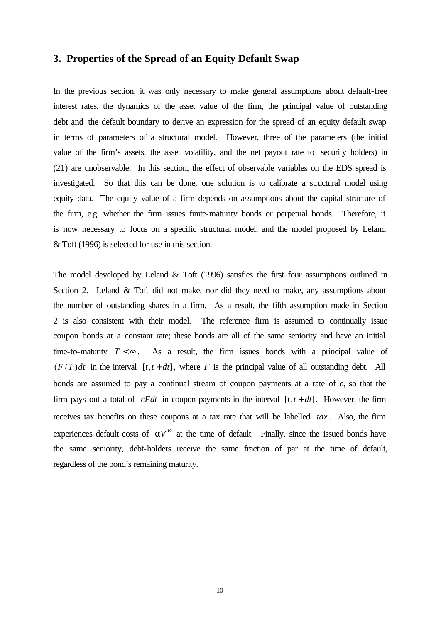#### **3. Properties of the Spread of an Equity Default Swap**

In the previous section, it was only necessary to make general assumptions about default-free interest rates, the dynamics of the asset value of the firm, the principal value of outstanding debt and the default boundary to derive an expression for the spread of an equity default swap in terms of parameters of a structural model. However, three of the parameters (the initial value of the firm's assets, the asset volatility, and the net payout rate to security holders) in (21) are unobservable. In this section, the effect of observable variables on the EDS spread is investigated. So that this can be done, one solution is to calibrate a structural model using equity data. The equity value of a firm depends on assumptions about the capital structure of the firm, e.g. whether the firm issues finite-maturity bonds or perpetual bonds. Therefore, it is now necessary to focus on a specific structural model, and the model proposed by Leland & Toft (1996) is selected for use in this section.

The model developed by Leland & Toft (1996) satisfies the first four assumptions outlined in Section 2. Leland & Toft did not make, nor did they need to make, any assumptions about the number of outstanding shares in a firm. As a result, the fifth assumption made in Section 2 is also consistent with their model. The reference firm is assumed to continually issue coupon bonds at a constant rate; these bonds are all of the same seniority and have an initial time-to-maturity  $T < \infty$ . As a result, the firm issues bonds with a principal value of  $(F/T) dt$  in the interval  $[t, t + dt]$ , where *F* is the principal value of all outstanding debt. All bonds are assumed to pay a continual stream of coupon payments at a rate of *c*, so that the firm pays out a total of *cFdt* in coupon payments in the interval  $[t, t + dt]$ . However, the firm receives tax benefits on these coupons at a tax rate that will be labelled *tax* . Also, the firm experiences default costs of  $aV^B$  at the time of default. Finally, since the issued bonds have the same seniority, debt-holders receive the same fraction of par at the time of default, regardless of the bond's remaining maturity.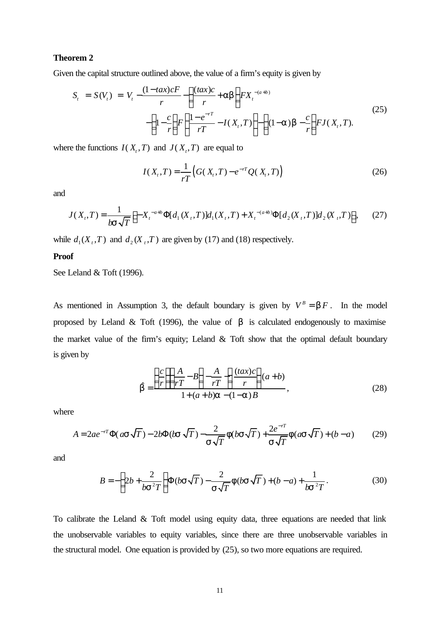#### **Theorem 2**

Given the capital structure outlined above, the value of a firm's equity is given by

$$
S_{t} = S(V_{t}) = V_{t} - \frac{(1 - tax)cF}{r} - \left(\frac{(tax)c}{r} + ab\right) FX_{t}^{-(a+b)} - \left(1 - \frac{c}{r}\right)F\left(\frac{1 - e^{-rT}}{rT} - I(X_{t}, T)\right) - \left(1 - a\right)b - \frac{c}{r}\right)FJ(X_{t}, T).
$$
\n(25)

where the functions  $I(X_t, T)$  and  $J(X_t, T)$  are equal to

$$
I(X_t, T) = \frac{1}{rT} \Big( G(X_t, T) - e^{-rT} Q(X_t, T) \Big)
$$
 (26)

ÿ

and

$$
J(X_t, T) = \frac{1}{b\mathbf{S}\sqrt{T}} \Big[ -X_t^{-a+b} \Phi[d_1(X_t, T)]d_1(X_t, T) + X_t^{-(a+b)} \Phi[d_2(X_t, T)]d_2(X_t, T) \Big], \tag{27}
$$

while  $d_1(X_t, T)$  and  $d_2(X_t, T)$  are given by (17) and (18) respectively.

#### **Proof**

See Leland & Toft (1996).

As mentioned in Assumption 3, the default boundary is given by  $V^B = bF$ . In the model proposed by Leland & Toft (1996), the value of  $\boldsymbol{b}$  is calculated endogenously to maximise the market value of the firm's equity; Leland & Toft show that the optimal default boundary is given by

$$
\hat{\mathbf{b}} = \frac{\left(\frac{c}{r}\right)\left(\frac{A}{rT} - B\right) - \frac{A}{rT}\left(\frac{(tax)c}{r}\right)(a+b)}{1 + (a+b)a - (1-a)B},\tag{28}
$$

where

$$
A = 2ae^{-rT}\Phi(a\mathbf{s}\sqrt{T}) - 2b\Phi(b\mathbf{s}\sqrt{T}) - \frac{2}{\mathbf{s}\sqrt{T}}\mathbf{f}(b\mathbf{s}\sqrt{T}) + \frac{2e^{-rT}}{\mathbf{s}\sqrt{T}}\mathbf{f}(a\mathbf{s}\sqrt{T}) + (b-a)
$$
(29)

and

$$
B = -\left(2b + \frac{2}{bs^2T}\right)\Phi(b\mathbf{s}\sqrt{T}) - \frac{2}{\mathbf{s}\sqrt{T}}\mathbf{f}(b\mathbf{s}\sqrt{T}) + (b-a) + \frac{1}{bs^2T}.
$$
 (30)

To calibrate the Leland & Toft model using equity data, three equations are needed that link the unobservable variables to equity variables, since there are three unobservable variables in the structural model. One equation is provided by (25), so two more equations are required.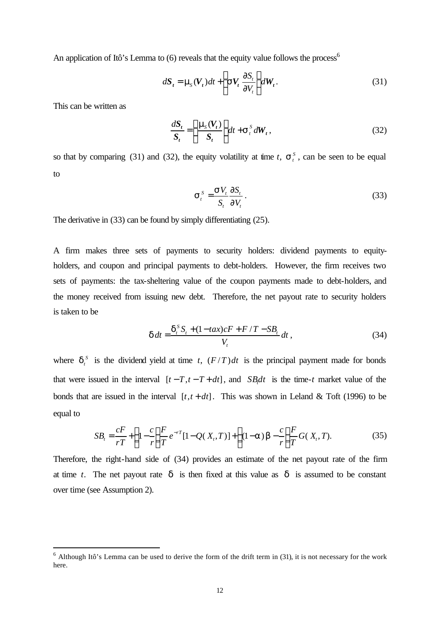An application of Itô's Lemma to  $(6)$  reveals that the equity value follows the process<sup>6</sup>

$$
d\mathbf{S}_t = \mathbf{m}_s(\mathbf{V}_t)dt + \left(\mathbf{S}\mathbf{V}_t\frac{\partial S_t}{\partial V_t}\right)d\mathbf{W}_t.
$$
 (31)

This can be written as

l

$$
\frac{dS_t}{S_t} = \left(\frac{\mathbf{m}_s(V_t)}{S_t}\right)dt + \mathbf{s}_t^s dW_t,
$$
\n(32)

so that by comparing (31) and (32), the equity volatility at time *t*,  $S_t^s$ , can be seen to be equal to

$$
\boldsymbol{S}_t^S = \frac{\boldsymbol{S} V_t}{S_t} \frac{\partial S_t}{\partial V_t} .
$$
 (33)

The derivative in (33) can be found by simply differentiating (25).

A firm makes three sets of payments to security holders: dividend payments to equityholders, and coupon and principal payments to debt-holders. However, the firm receives two sets of payments: the tax-sheltering value of the coupon payments made to debt-holders, and the money received from issuing new debt. Therefore, the net payout rate to security holders is taken to be

$$
d dt = \frac{d_t^S S_t + (1 - tax)cF + F/T - SB_t}{V_t} dt,
$$
\n(34)

where  $\mathbf{d}_t^S$  is the dividend yield at time *t*,  $(F/T)dt$  is the principal payment made for bonds that were issued in the interval  $[t - T, t - T + dt]$ , and *SB<sub>l</sub>dt* is the time-*t* market value of the bonds that are issued in the interval  $[t, t + dt]$ . This was shown in Leland & Toft (1996) to be equal to

$$
SB_t = \frac{cF}{rT} + \left(1 - \frac{c}{r}\right) \frac{F}{T} e^{-rT} [1 - Q(X_t, T)] + \left(1 - a\right) b - \frac{c}{r} \frac{F}{T} G(X_t, T). \tag{35}
$$

Therefore, the right-hand side of (34) provides an estimate of the net payout rate of the firm at time *t*. The net payout rate *d* is then fixed at this value as *d* is assumed to be constant over time (see Assumption 2).

 $6$  Although Itô's Lemma can be used to derive the form of the drift term in (31), it is not necessary for the work here.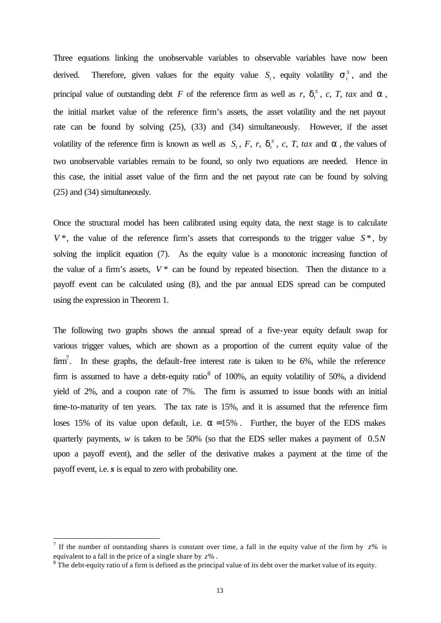Three equations linking the unobservable variables to observable variables have now been derived. Therefore, given values for the equity value  $S_t$ , equity volatility  $S_t^s$ , and the principal value of outstanding debt *F* of the reference firm as well as *r*,  $d_t^s$  $\mathbf{d}_t^s$ , *c*, *T*, *tax* and **a**, the initial market value of the reference firm's assets, the asset volatility and the net payout rate can be found by solving (25), (33) and (34) simultaneously. However, if the asset volatility of the reference firm is known as well as  $S_t$ , *F*, *r*,  $d_t^s$  $\mathbf{d}_t^s$ , *c*, *T*, *tax* and *a*, the values of two unobservable variables remain to be found, so only two equations are needed. Hence in this case, the initial asset value of the firm and the net payout rate can be found by solving (25) and (34) simultaneously.

Once the structural model has been calibrated using equity data, the next stage is to calculate  $V^*$ , the value of the reference firm's assets that corresponds to the trigger value  $S^*$ , by solving the implicit equation (7). As the equity value is a monotonic increasing function of the value of a firm's assets,  $V^*$  can be found by repeated bisection. Then the distance to a payoff event can be calculated using (8), and the par annual EDS spread can be computed using the expression in Theorem 1.

The following two graphs shows the annual spread of a five-year equity default swap for various trigger values, which are shown as a proportion of the current equity value of the  $\text{firm}^7$ . In these graphs, the default-free interest rate is taken to be 6%, while the reference firm is assumed to have a debt-equity ratio<sup>8</sup> of 100%, an equity volatility of 50%, a dividend yield of 2%, and a coupon rate of 7%. The firm is assumed to issue bonds with an initial time-to-maturity of ten years. The tax rate is 15%, and it is assumed that the reference firm loses 15% of its value upon default, i.e.  $a = 15%$ . Further, the buyer of the EDS makes quarterly payments, *w* is taken to be 50% (so that the EDS seller makes a payment of 0.5*N* upon a payoff event), and the seller of the derivative makes a payment at the time of the payoff event, i.e. *s* is equal to zero with probability one.

<sup>&</sup>lt;sup>7</sup> If the number of outstanding shares is constant over time, a fall in the equity value of the firm by  $z\%$  is equivalent to a fall in the price of a single share by *z*% .

 $8\text{ The debt-equity ratio of a firm is defined as the principal value of its debt over the market value of its equity.}$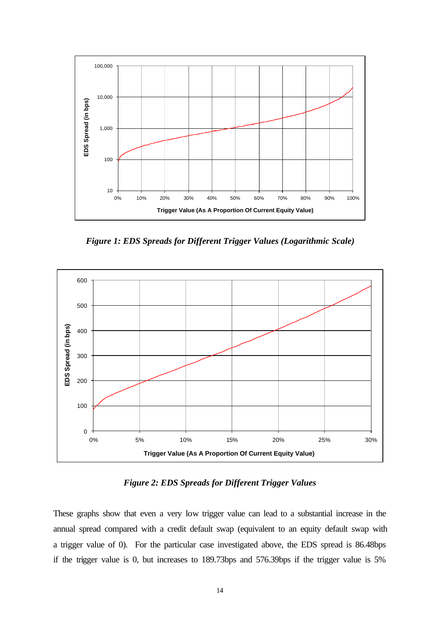

*Figure 1: EDS Spreads for Different Trigger Values (Logarithmic Scale)*



*Figure 2: EDS Spreads for Different Trigger Values*

These graphs show that even a very low trigger value can lead to a substantial increase in the annual spread compared with a credit default swap (equivalent to an equity default swap with a trigger value of 0). For the particular case investigated above, the EDS spread is 86.48bps if the trigger value is 0, but increases to 189.73bps and 576.39bps if the trigger value is 5%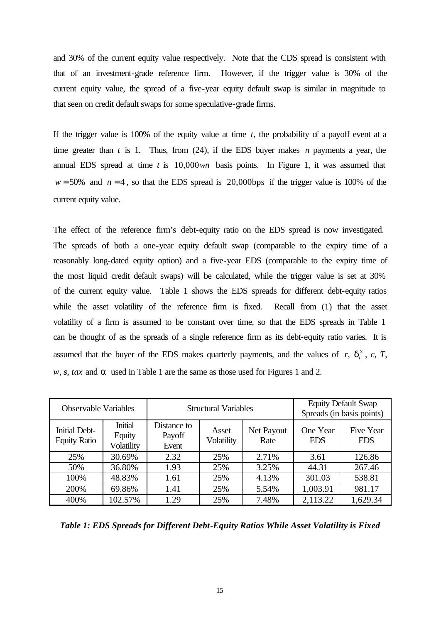and 30% of the current equity value respectively. Note that the CDS spread is consistent with that of an investment-grade reference firm. However, if the trigger value is 30% of the current equity value, the spread of a five-year equity default swap is similar in magnitude to that seen on credit default swaps for some speculative-grade firms.

If the trigger value is 100% of the equity value at time *t*, the probability of a payoff event at a time greater than *t* is 1. Thus, from (24), if the EDS buyer makes *n* payments a year, the annual EDS spread at time *t* is 10,000*wn* basis points. In Figure 1, it was assumed that  $w = 50\%$  and  $n = 4$ , so that the EDS spread is 20,000bps if the trigger value is 100% of the current equity value.

The effect of the reference firm's debt-equity ratio on the EDS spread is now investigated. The spreads of both a one-year equity default swap (comparable to the expiry time of a reasonably long-dated equity option) and a five-year EDS (comparable to the expiry time of the most liquid credit default swaps) will be calculated, while the trigger value is set at 30% of the current equity value. Table 1 shows the EDS spreads for different debt-equity ratios while the asset volatility of the reference firm is fixed. Recall from (1) that the asset volatility of a firm is assumed to be constant over time, so that the EDS spreads in Table 1 can be thought of as the spreads of a single reference firm as its debt-equity ratio varies. It is assumed that the buyer of the EDS makes quarterly payments, and the values of  $r$ ,  $d_i^s$  $\boldsymbol{d}_t^S$ , *c*, *T*, *w*, *s*, *tax* and *a* used in Table 1 are the same as those used for Figures 1 and 2.

| <b>Observable Variables</b>                 |                                               | <b>Structural Variables</b>    |                     |                    | <b>Equity Default Swap</b><br>Spreads (in basis points) |                                |
|---------------------------------------------|-----------------------------------------------|--------------------------------|---------------------|--------------------|---------------------------------------------------------|--------------------------------|
| <b>Initial Debt-</b><br><b>Equity Ratio</b> | <b>Initial</b><br>Equity<br><b>Volatility</b> | Distance to<br>Payoff<br>Event | Asset<br>Volatility | Net Payout<br>Rate | One Year<br><b>EDS</b>                                  | <b>Five Year</b><br><b>EDS</b> |
| 25%                                         | 30.69%                                        | 2.32                           | 25%                 | 2.71%              | 3.61                                                    | 126.86                         |
| 50%                                         | 36.80%                                        | 1.93                           | 25%                 | 3.25%              | 44.31                                                   | 267.46                         |
| 100%                                        | 48.83%                                        | 1.61                           | 25%                 | 4.13%              | 301.03                                                  | 538.81                         |
| 200%                                        | 69.86%                                        | 1.41                           | 25%                 | 5.54%              | 1,003.91                                                | 981.17                         |
| 400%                                        | 102.57%                                       | 1.29                           | 25%                 | 7.48%              | 2,113.22                                                | 1,629.34                       |

*Table 1: EDS Spreads for Different Debt-Equity Ratios While Asset Volatility is Fixed*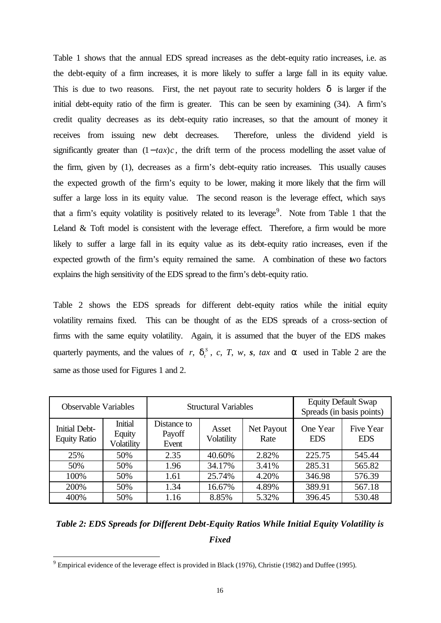Table 1 shows that the annual EDS spread increases as the debt-equity ratio increases, i.e. as the debt-equity of a firm increases, it is more likely to suffer a large fall in its equity value. This is due to two reasons. First, the net payout rate to security holders *d* is larger if the initial debt-equity ratio of the firm is greater. This can be seen by examining (34). A firm's credit quality decreases as its debt-equity ratio increases, so that the amount of money it receives from issuing new debt decreases. Therefore, unless the dividend yield is significantly greater than  $(1 - tax)c$ , the drift term of the process modelling the asset value of the firm, given by (1), decreases as a firm's debt-equity ratio increases. This usually causes the expected growth of the firm's equity to be lower, making it more likely that the firm will suffer a large loss in its equity value. The second reason is the leverage effect, which says that a firm's equity volatility is positively related to its leverage<sup>9</sup>. Note from Table 1 that the Leland & Toft model is consistent with the leverage effect. Therefore, a firm would be more likely to suffer a large fall in its equity value as its debt-equity ratio increases, even if the expected growth of the firm's equity remained the same. A combination of these two factors explains the high sensitivity of the EDS spread to the firm's debt-equity ratio.

Table 2 shows the EDS spreads for different debt-equity ratios while the initial equity volatility remains fixed. This can be thought of as the EDS spreads of a cross-section of firms with the same equity volatility. Again, it is assumed that the buyer of the EDS makes quarterly payments, and the values of  $r$ ,  $d_t^s$  $d_i^s$ , *c*, *T*, *w*, *s*, *tax* and *a* used in Table 2 are the same as those used for Figures 1 and 2.

| <b>Observable Variables</b>                 |                                        | <b>Structural Variables</b>    |                     |                    | <b>Equity Default Swap</b><br>Spreads (in basis points) |                         |
|---------------------------------------------|----------------------------------------|--------------------------------|---------------------|--------------------|---------------------------------------------------------|-------------------------|
| <b>Initial Debt-</b><br><b>Equity Ratio</b> | <b>Initial</b><br>Equity<br>Volatility | Distance to<br>Payoff<br>Event | Asset<br>Volatility | Net Payout<br>Rate | One Year<br><b>EDS</b>                                  | Five Year<br><b>EDS</b> |
| 25%                                         | 50%                                    | 2.35                           | 40.60%              | 2.82%              | 225.75                                                  | 545.44                  |
| 50%                                         | 50%                                    | 1.96                           | 34.17%              | 3.41%              | 285.31                                                  | 565.82                  |
| 100%                                        | 50%                                    | 1.61                           | 25.74%              | 4.20%              | 346.98                                                  | 576.39                  |
| 200%                                        | 50%                                    | 1.34                           | 16.67%              | 4.89%              | 389.91                                                  | 567.18                  |
| 400%                                        | 50%                                    | 1.16                           | 8.85%               | 5.32%              | 396.45                                                  | 530.48                  |

### *Table 2: EDS Spreads for Different Debt-Equity Ratios While Initial Equity Volatility is Fixed*

 $9^9$  Empirical evidence of the leverage effect is provided in Black (1976), Christie (1982) and Duffee (1995).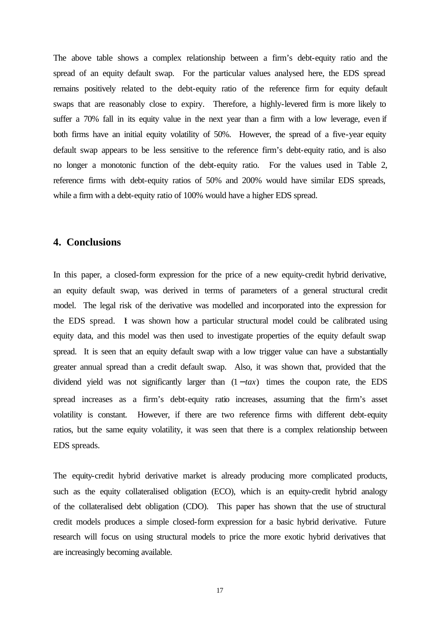The above table shows a complex relationship between a firm's debt-equity ratio and the spread of an equity default swap. For the particular values analysed here, the EDS spread remains positively related to the debt-equity ratio of the reference firm for equity default swaps that are reasonably close to expiry. Therefore, a highly-levered firm is more likely to suffer a 70% fall in its equity value in the next year than a firm with a low leverage, even if both firms have an initial equity volatility of 50%. However, the spread of a five-year equity default swap appears to be less sensitive to the reference firm's debt-equity ratio, and is also no longer a monotonic function of the debt-equity ratio. For the values used in Table 2, reference firms with debt-equity ratios of 50% and 200% would have similar EDS spreads, while a firm with a debt-equity ratio of 100% would have a higher EDS spread.

#### **4. Conclusions**

In this paper, a closed-form expression for the price of a new equity-credit hybrid derivative, an equity default swap, was derived in terms of parameters of a general structural credit model. The legal risk of the derivative was modelled and incorporated into the expression for the EDS spread. It was shown how a particular structural model could be calibrated using equity data, and this model was then used to investigate properties of the equity default swap spread. It is seen that an equity default swap with a low trigger value can have a substantially greater annual spread than a credit default swap. Also, it was shown that, provided that the dividend yield was not significantly larger than  $(1 - tax)$  times the coupon rate, the EDS spread increases as a firm's debt-equity ratio increases, assuming that the firm's asset volatility is constant. However, if there are two reference firms with different debt-equity ratios, but the same equity volatility, it was seen that there is a complex relationship between EDS spreads.

The equity-credit hybrid derivative market is already producing more complicated products, such as the equity collateralised obligation (ECO), which is an equity-credit hybrid analogy of the collateralised debt obligation (CDO). This paper has shown that the use of structural credit models produces a simple closed-form expression for a basic hybrid derivative. Future research will focus on using structural models to price the more exotic hybrid derivatives that are increasingly becoming available.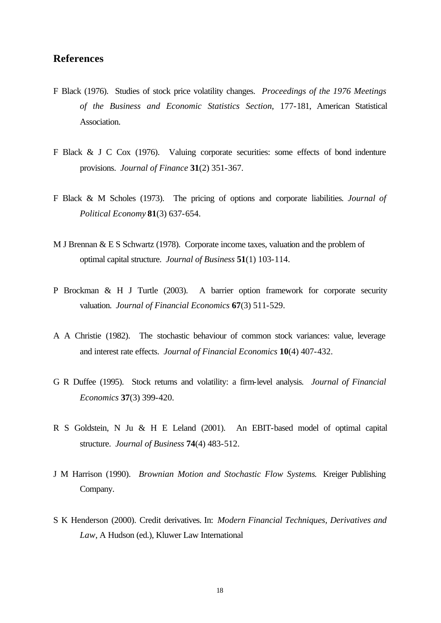#### **References**

- F Black (1976). Studies of stock price volatility changes. *Proceedings of the 1976 Meetings of the Business and Economic Statistics Section*, 177-181, American Statistical Association.
- F Black & J C Cox (1976). Valuing corporate securities: some effects of bond indenture provisions. *Journal of Finance* **31**(2) 351-367.
- F Black & M Scholes (1973). The pricing of options and corporate liabilities*. Journal of Political Economy* **81**(3) 637-654.
- M J Brennan & E S Schwartz (1978). Corporate income taxes, valuation and the problem of optimal capital structure. *Journal of Business* **51**(1) 103-114.
- P Brockman & H J Turtle (2003). A barrier option framework for corporate security valuation. *Journal of Financial Economics* **67**(3) 511-529.
- A A Christie (1982). The stochastic behaviour of common stock variances: value, leverage and interest rate effects. *Journal of Financial Economics* **10**(4) 407-432.
- G R Duffee (1995). Stock returns and volatility: a firm-level analysis. *Journal of Financial Economics* **37**(3) 399-420.
- R S Goldstein, N Ju & H E Leland (2001). An EBIT-based model of optimal capital structure. *Journal of Business* **74**(4) 483-512.
- J M Harrison (1990). *Brownian Motion and Stochastic Flow Systems*. Kreiger Publishing Company.
- S K Henderson (2000). Credit derivatives. In: *Modern Financial Techniques, Derivatives and Law*, A Hudson (ed.), Kluwer Law International